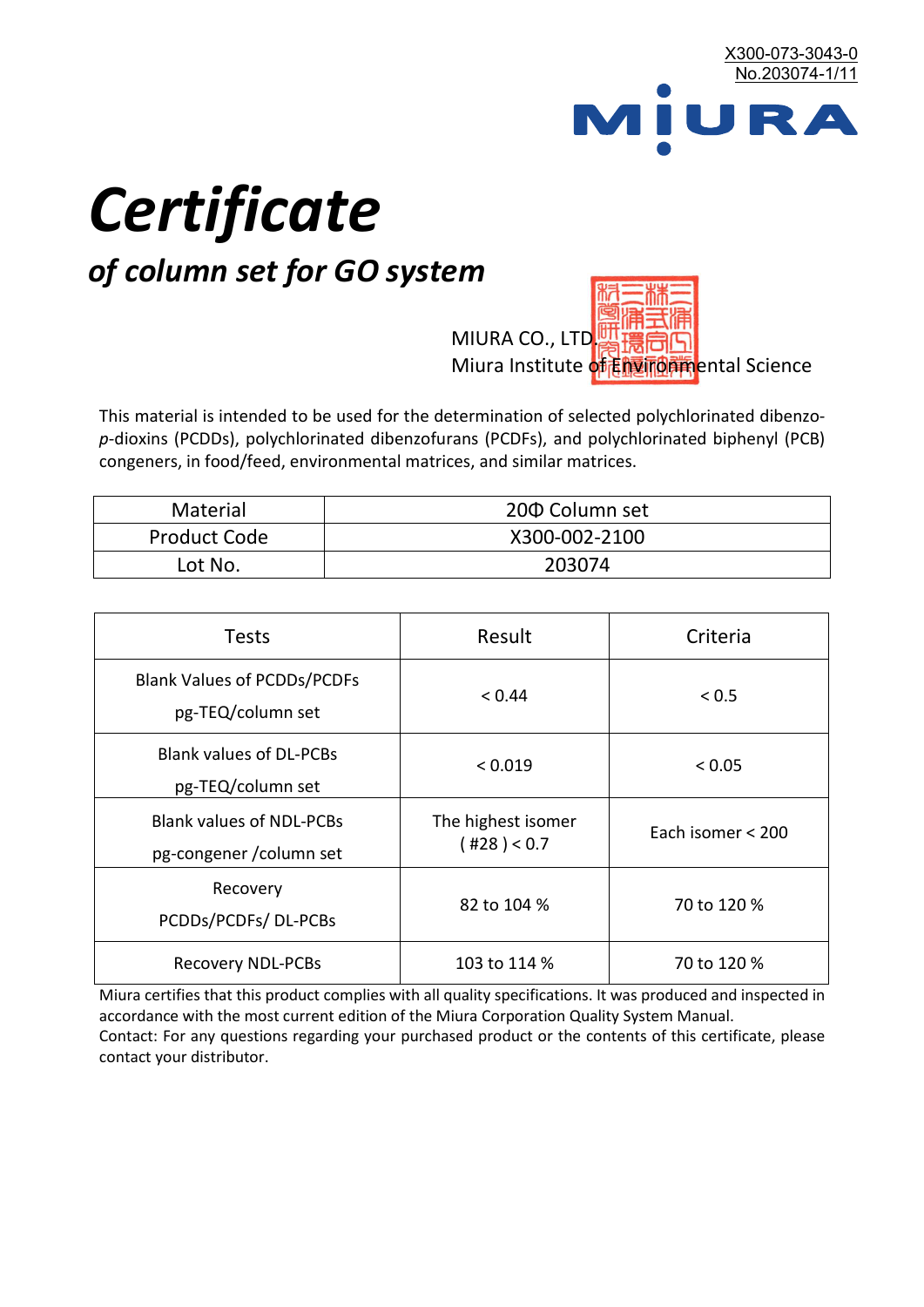

# *Certificate*

# *of column set for GO system*

MIURA CO., LTD. Miura Institute of 正版而解ental Science

This material is intended to be used for the determination of selected polychlorinated dibenzo*p*-dioxins (PCDDs), polychlorinated dibenzofurans (PCDFs), and polychlorinated biphenyl (PCB) congeners, in food/feed, environmental matrices, and similar matrices.

| <b>Material</b>     | 200 Column set |
|---------------------|----------------|
| <b>Product Code</b> | X300-002-2100  |
| Lot No.             | 203074         |

| <b>Tests</b>                                                | Result                            | Criteria          |
|-------------------------------------------------------------|-----------------------------------|-------------------|
| <b>Blank Values of PCDDs/PCDFs</b><br>pg-TEQ/column set     | < 0.44                            | < 0.5             |
| <b>Blank values of DL-PCBs</b><br>pg-TEQ/column set         | < 0.019                           | < 0.05            |
| <b>Blank values of NDL-PCBs</b><br>pg-congener / column set | The highest isomer<br>(428) < 0.7 | Each isomer < 200 |
| Recovery<br>PCDDs/PCDFs/DL-PCBs                             | 82 to 104 %                       | 70 to 120 %       |
| <b>Recovery NDL-PCBs</b>                                    | 103 to 114 %                      | 70 to 120 %       |

Miura certifies that this product complies with all quality specifications. It was produced and inspected in accordance with the most current edition of the Miura Corporation Quality System Manual. Contact: For any questions regarding your purchased product or the contents of this certificate, please contact your distributor.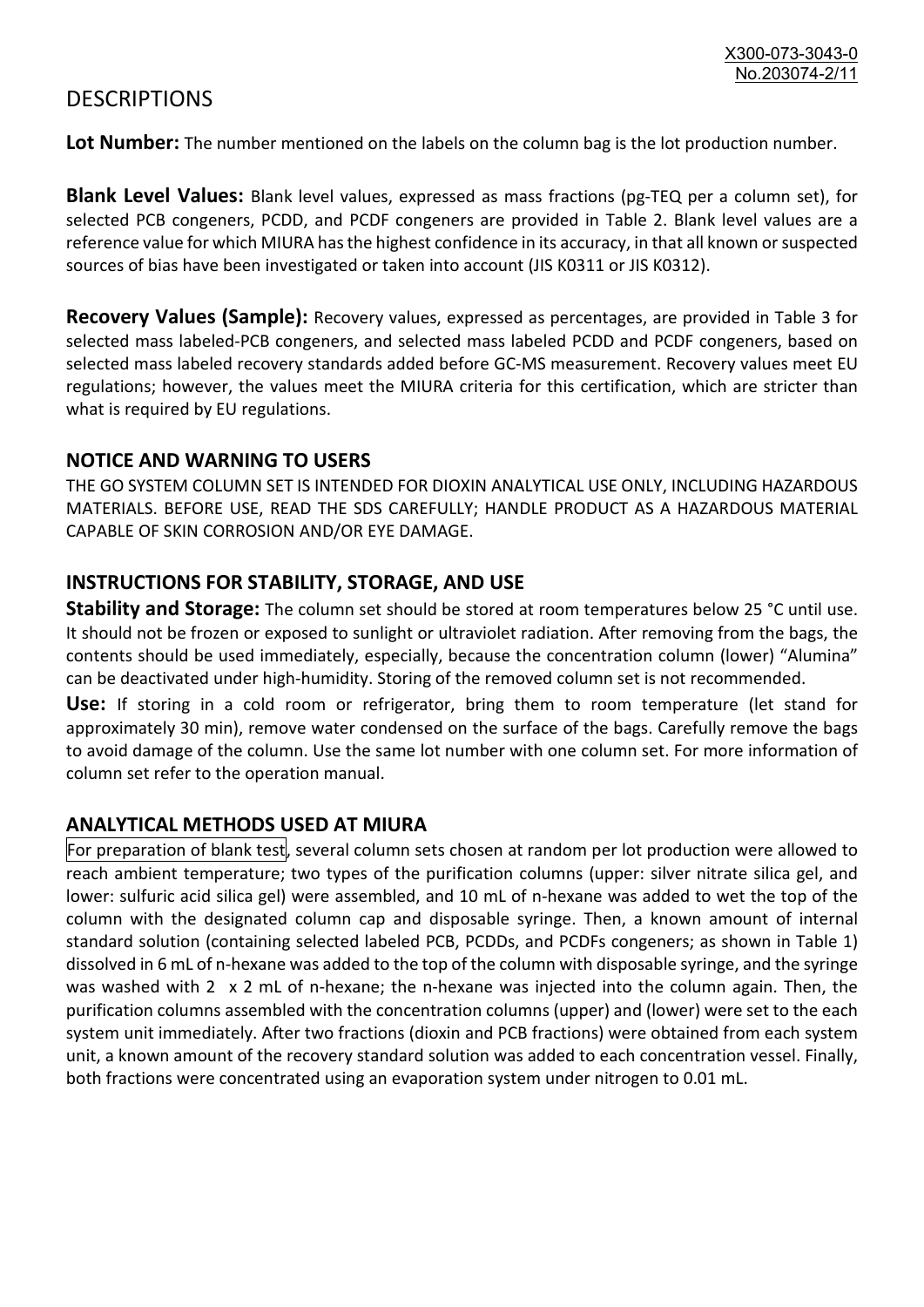## **DESCRIPTIONS**

**Lot Number:** The number mentioned on the labels on the column bag is the lot production number.

**Blank Level Values:** Blank level values, expressed as mass fractions (pg-TEQ per a column set), for selected PCB congeners, PCDD, and PCDF congeners are provided in Table 2. Blank level values are a reference value for which MIURA has the highest confidence in its accuracy, in that all known or suspected sources of bias have been investigated or taken into account (JIS K0311 or JIS K0312).

**Recovery Values (Sample):** Recovery values, expressed as percentages, are provided in Table 3 for selected mass labeled-PCB congeners, and selected mass labeled PCDD and PCDF congeners, based on selected mass labeled recovery standards added before GC-MS measurement. Recovery values meet EU regulations; however, the values meet the MIURA criteria for this certification, which are stricter than what is required by EU regulations.

#### **NOTICE AND WARNING TO USERS**

THE GO SYSTEM COLUMN SET IS INTENDED FOR DIOXIN ANALYTICAL USE ONLY, INCLUDING HAZARDOUS MATERIALS. BEFORE USE, READ THE SDS CAREFULLY; HANDLE PRODUCT AS A HAZARDOUS MATERIAL CAPABLE OF SKIN CORROSION AND/OR EYE DAMAGE.

#### **INSTRUCTIONS FOR STABILITY, STORAGE, AND USE**

**Stability and Storage:** The column set should be stored at room temperatures below 25 °C until use. It should not be frozen or exposed to sunlight or ultraviolet radiation. After removing from the bags, the contents should be used immediately, especially, because the concentration column (lower) "Alumina" can be deactivated under high-humidity. Storing of the removed column set is not recommended.

**Use:** If storing in a cold room or refrigerator, bring them to room temperature (let stand for approximately 30 min), remove water condensed on the surface of the bags. Carefully remove the bags to avoid damage of the column. Use the same lot number with one column set. For more information of column set refer to the operation manual.

### **ANALYTICAL METHODS USED AT MIURA**

For preparation of blank test, several column sets chosen at random per lot production were allowed to reach ambient temperature; two types of the purification columns (upper: silver nitrate silica gel, and lower: sulfuric acid silica gel) were assembled, and 10 mL of n-hexane was added to wet the top of the column with the designated column cap and disposable syringe. Then, a known amount of internal standard solution (containing selected labeled PCB, PCDDs, and PCDFs congeners; as shown in Table 1) dissolved in 6 mL of n-hexane was added to the top of the column with disposable syringe, and the syringe was washed with 2 x 2 mL of n-hexane; the n-hexane was injected into the column again. Then, the purification columns assembled with the concentration columns (upper) and (lower) were set to the each system unit immediately. After two fractions (dioxin and PCB fractions) were obtained from each system unit, a known amount of the recovery standard solution was added to each concentration vessel. Finally, both fractions were concentrated using an evaporation system under nitrogen to 0.01 mL.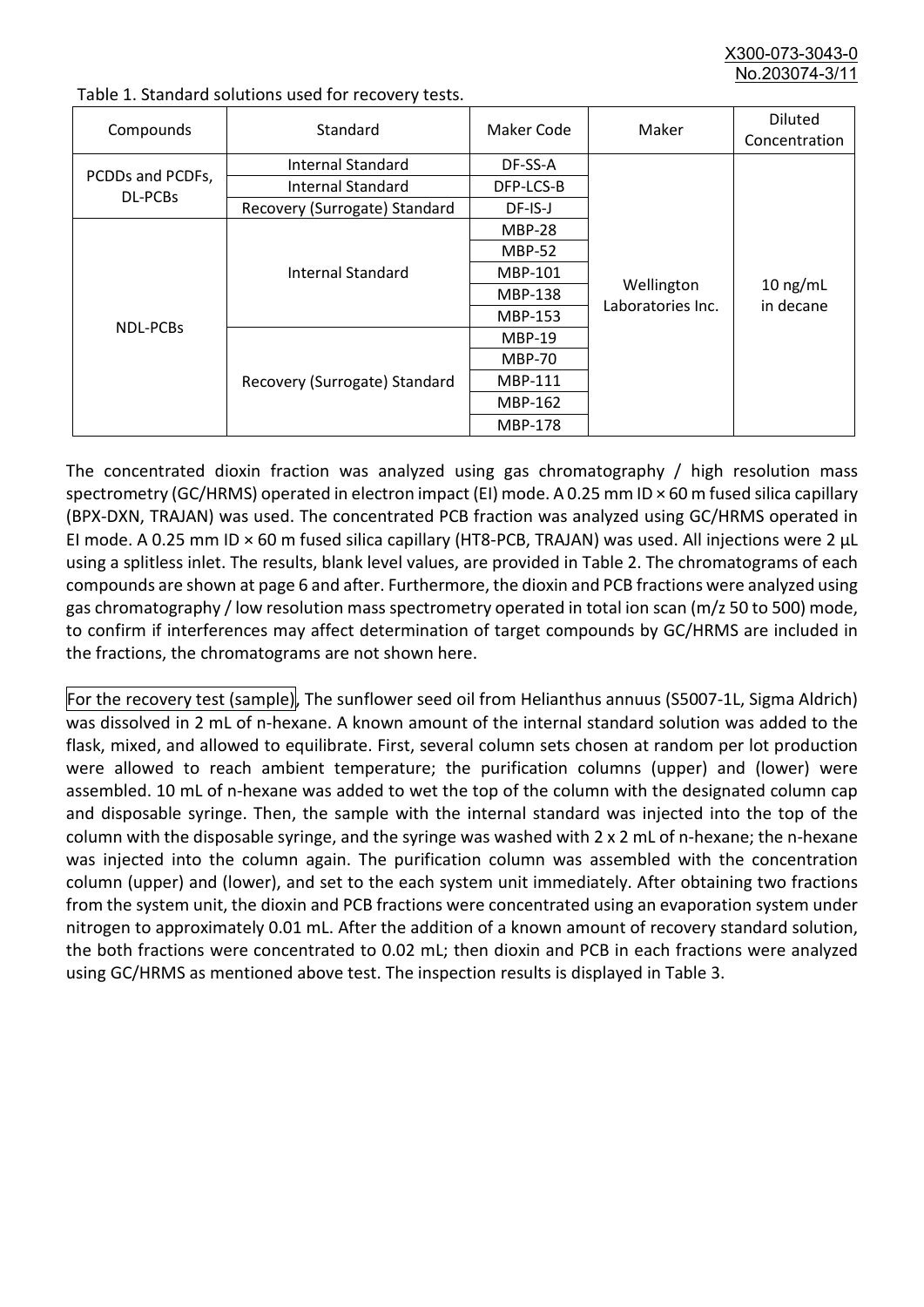X300-073-3043-0 No.203074-3/

| Compounds                   | Standard                      | Maker Code     | Maker             | <b>Diluted</b><br>Concentration |
|-----------------------------|-------------------------------|----------------|-------------------|---------------------------------|
|                             | Internal Standard             | DF-SS-A        |                   |                                 |
| PCDDs and PCDFs,<br>DL-PCBs | <b>Internal Standard</b>      | DFP-LCS-B      |                   |                                 |
|                             | Recovery (Surrogate) Standard | DF-IS-J        |                   |                                 |
|                             |                               | <b>MBP-28</b>  |                   |                                 |
|                             |                               | <b>MBP-52</b>  |                   |                                 |
|                             | Internal Standard             | MBP-101        |                   |                                 |
|                             |                               | <b>MBP-138</b> | Wellington        | $10$ ng/mL                      |
|                             |                               | MBP-153        | Laboratories Inc. | in decane                       |
| NDL-PCBs                    |                               | <b>MBP-19</b>  |                   |                                 |
|                             |                               | <b>MBP-70</b>  |                   |                                 |
|                             | Recovery (Surrogate) Standard | MBP-111        |                   |                                 |
|                             |                               | MBP-162        |                   |                                 |
|                             |                               | <b>MBP-178</b> |                   |                                 |

Table 1. Standard solutions used for recovery tests.

The concentrated dioxin fraction was analyzed using gas chromatography / high resolution mass spectrometry (GC/HRMS) operated in electron impact (EI) mode. A 0.25 mm ID × 60 m fused silica capillary (BPX-DXN, TRAJAN) was used. The concentrated PCB fraction was analyzed using GC/HRMS operated in EI mode. A 0.25 mm ID × 60 m fused silica capillary (HT8-PCB, TRAJAN) was used. All injections were 2 μL using a splitless inlet. The results, blank level values, are provided in Table 2. The chromatograms of each compounds are shown at page 6 and after. Furthermore, the dioxin and PCB fractions were analyzed using gas chromatography / low resolution mass spectrometry operated in total ion scan (m/z 50 to 500) mode, to confirm if interferences may affect determination of target compounds by GC/HRMS are included in the fractions, the chromatograms are not shown here.

For the recovery test (sample), The sunflower seed oil from Helianthus annuus (S5007-1L, Sigma Aldrich) was dissolved in 2 mL of n-hexane. A known amount of the internal standard solution was added to the flask, mixed, and allowed to equilibrate. First, several column sets chosen at random per lot production were allowed to reach ambient temperature; the purification columns (upper) and (lower) were assembled. 10 mL of n-hexane was added to wet the top of the column with the designated column cap and disposable syringe. Then, the sample with the internal standard was injected into the top of the column with the disposable syringe, and the syringe was washed with 2 x 2 mL of n-hexane; the n-hexane was injected into the column again. The purification column was assembled with the concentration column (upper) and (lower), and set to the each system unit immediately. After obtaining two fractions from the system unit, the dioxin and PCB fractions were concentrated using an evaporation system under nitrogen to approximately 0.01 mL. After the addition of a known amount of recovery standard solution, the both fractions were concentrated to 0.02 mL; then dioxin and PCB in each fractions were analyzed using GC/HRMS as mentioned above test. The inspection results is displayed in Table 3.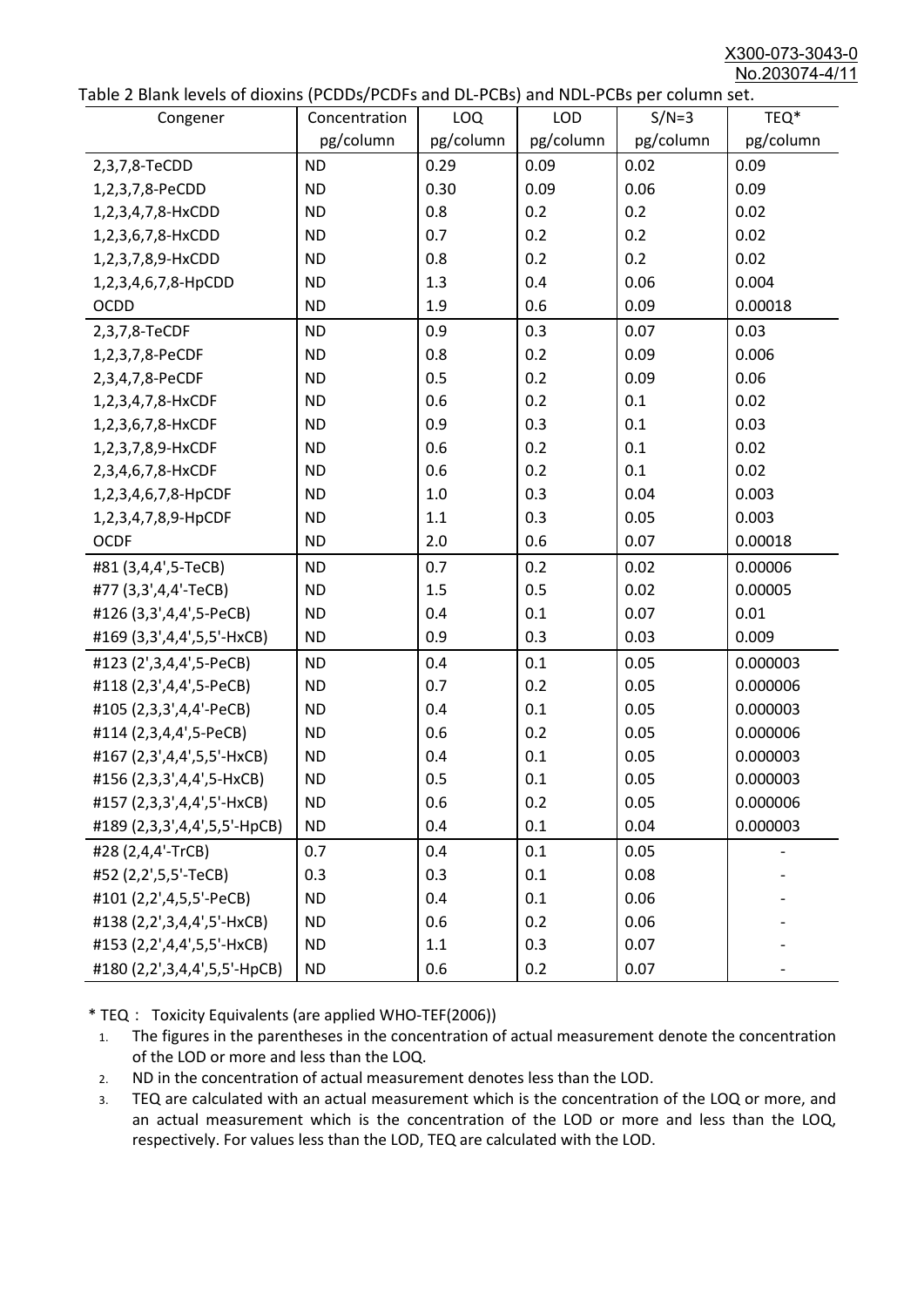X300-073-3043-0 No.203074-4/11

| able 2 Dialik levels of dioxilis (PCDDs/PCDI's and DL-PCDs) and NDL-PCDs per coldinii set.<br>Congener | Concentration | LOQ       | <b>LOD</b> | $S/N=3$   | TEQ*      |
|--------------------------------------------------------------------------------------------------------|---------------|-----------|------------|-----------|-----------|
|                                                                                                        | pg/column     | pg/column | pg/column  | pg/column | pg/column |
| 2,3,7,8-TeCDD                                                                                          | <b>ND</b>     | 0.29      | 0.09       | 0.02      | 0.09      |
| 1,2,3,7,8-PeCDD                                                                                        | <b>ND</b>     | 0.30      | 0.09       | 0.06      | 0.09      |
| 1,2,3,4,7,8-HxCDD                                                                                      | <b>ND</b>     | 0.8       | 0.2        | 0.2       | 0.02      |
| 1,2,3,6,7,8-HxCDD                                                                                      | <b>ND</b>     | 0.7       | 0.2        | 0.2       | 0.02      |
| 1,2,3,7,8,9-HxCDD                                                                                      | <b>ND</b>     | 0.8       | 0.2        | 0.2       | 0.02      |
| 1,2,3,4,6,7,8-HpCDD                                                                                    | <b>ND</b>     | 1.3       | 0.4        | 0.06      | 0.004     |
| <b>OCDD</b>                                                                                            | <b>ND</b>     | 1.9       | 0.6        | 0.09      | 0.00018   |
| 2,3,7,8-TeCDF                                                                                          | <b>ND</b>     | 0.9       | 0.3        | 0.07      | 0.03      |
| 1,2,3,7,8-PeCDF                                                                                        | <b>ND</b>     | 0.8       | 0.2        | 0.09      | 0.006     |
| 2,3,4,7,8-PeCDF                                                                                        | <b>ND</b>     | 0.5       | 0.2        | 0.09      | 0.06      |
| 1,2,3,4,7,8-HxCDF                                                                                      | <b>ND</b>     | 0.6       | 0.2        | 0.1       | 0.02      |
| 1,2,3,6,7,8-HxCDF                                                                                      | <b>ND</b>     | 0.9       | 0.3        | 0.1       | 0.03      |
| 1,2,3,7,8,9-HxCDF                                                                                      | <b>ND</b>     | 0.6       | 0.2        | 0.1       | 0.02      |
| 2,3,4,6,7,8-HxCDF                                                                                      | <b>ND</b>     | 0.6       | 0.2        | 0.1       | 0.02      |
| 1,2,3,4,6,7,8-HpCDF                                                                                    | <b>ND</b>     | 1.0       | 0.3        | 0.04      | 0.003     |
| 1,2,3,4,7,8,9-HpCDF                                                                                    | <b>ND</b>     | 1.1       | 0.3        | 0.05      | 0.003     |
| <b>OCDF</b>                                                                                            | <b>ND</b>     | 2.0       | 0.6        | 0.07      | 0.00018   |
| #81 (3,4,4',5-TeCB)                                                                                    | <b>ND</b>     | 0.7       | 0.2        | 0.02      | 0.00006   |
| #77 (3,3',4,4'-TeCB)                                                                                   | <b>ND</b>     | 1.5       | 0.5        | 0.02      | 0.00005   |
| #126 (3,3',4,4',5-PeCB)                                                                                | <b>ND</b>     | 0.4       | 0.1        | 0.07      | 0.01      |
| #169 (3,3',4,4',5,5'-HxCB)                                                                             | <b>ND</b>     | 0.9       | 0.3        | 0.03      | 0.009     |
| #123 (2',3,4,4',5-PeCB)                                                                                | <b>ND</b>     | 0.4       | 0.1        | 0.05      | 0.000003  |
| #118 (2,3',4,4',5-PeCB)                                                                                | <b>ND</b>     | 0.7       | 0.2        | 0.05      | 0.000006  |
| #105 (2,3,3',4,4'-PeCB)                                                                                | <b>ND</b>     | 0.4       | 0.1        | 0.05      | 0.000003  |
| #114 (2,3,4,4',5-PeCB)                                                                                 | <b>ND</b>     | 0.6       | 0.2        | 0.05      | 0.000006  |
| #167 (2,3',4,4',5,5'-HxCB)                                                                             | <b>ND</b>     | 0.4       | 0.1        | 0.05      | 0.000003  |
| #156 (2,3,3',4,4',5-HxCB)                                                                              | <b>ND</b>     | 0.5       | 0.1        | 0.05      | 0.000003  |
| #157 (2,3,3',4,4',5'-HxCB)                                                                             | <b>ND</b>     | 0.6       | 0.2        | 0.05      | 0.000006  |
| #189 (2,3,3',4,4',5,5'-HpCB)                                                                           | <b>ND</b>     | 0.4       | 0.1        | 0.04      | 0.000003  |
| #28 (2,4,4'-TrCB)                                                                                      | 0.7           | 0.4       | 0.1        | 0.05      |           |
| #52 (2,2',5,5'-TeCB)                                                                                   | 0.3           | 0.3       | 0.1        | 0.08      |           |
| #101 (2,2',4,5,5'-PeCB)                                                                                | <b>ND</b>     | 0.4       | 0.1        | 0.06      |           |
| #138 (2,2',3,4,4',5'-HxCB)                                                                             | <b>ND</b>     | 0.6       | 0.2        | 0.06      |           |
| #153 (2,2',4,4',5,5'-HxCB)                                                                             | <b>ND</b>     | 1.1       | 0.3        | 0.07      |           |
| #180 (2,2',3,4,4',5,5'-HpCB)                                                                           | <b>ND</b>     | 0.6       | 0.2        | 0.07      |           |

\* TEQ: Toxicity Equivalents (are applied WHO-TEF(2006))

- 1. The figures in the parentheses in the concentration of actual measurement denote the concentration of the LOD or more and less than the LOQ.
- 2. ND in the concentration of actual measurement denotes less than the LOD.
- 3. TEQ are calculated with an actual measurement which is the concentration of the LOQ or more, and an actual measurement which is the concentration of the LOD or more and less than the LOQ, respectively. For values less than the LOD, TEQ are calculated with the LOD.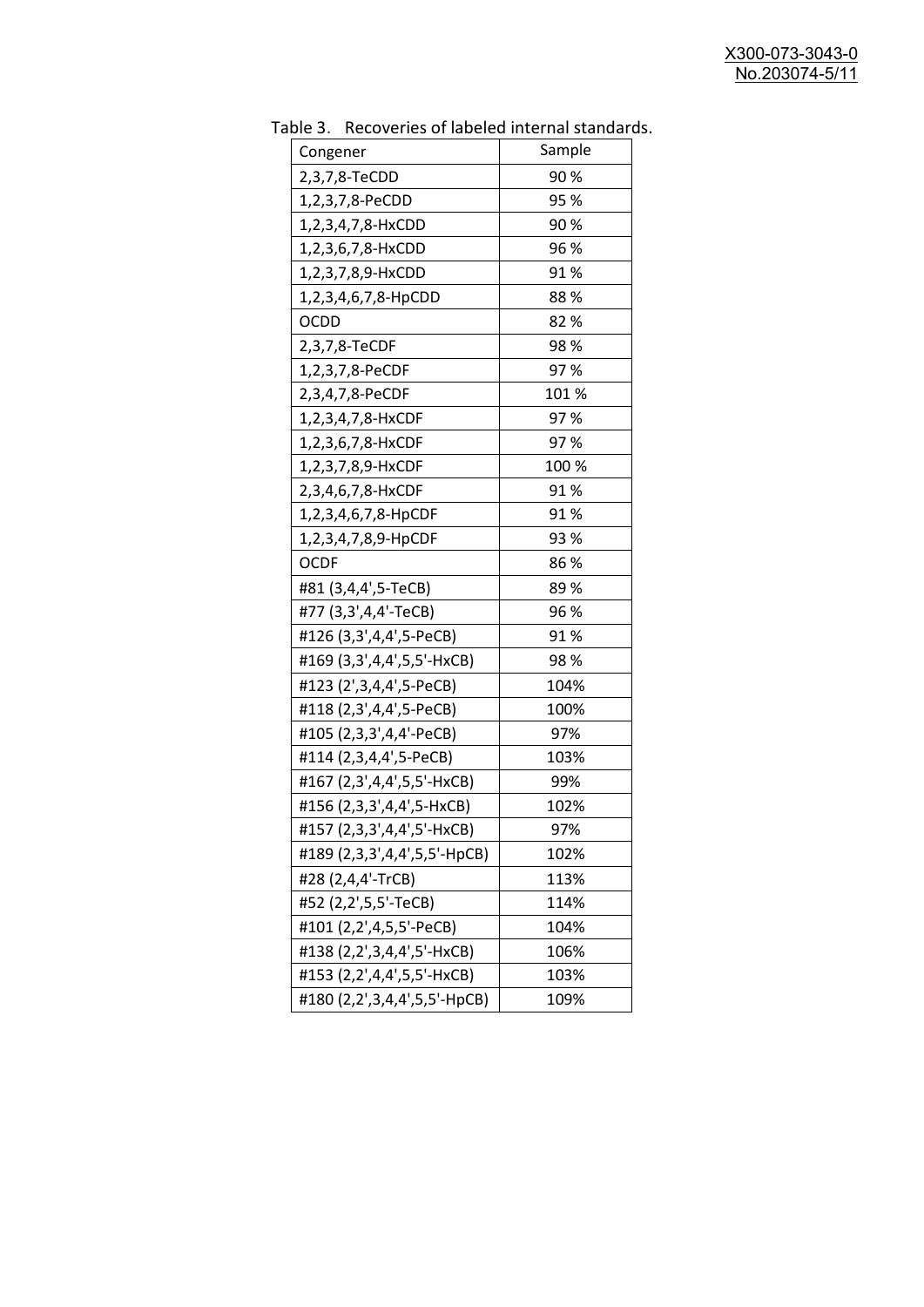| Sample<br>Congener<br>90%<br>2,3,7,8-TeCDD<br>95 %<br>1,2,3,7,8-PeCDD<br>90%<br>1,2,3,4,7,8-HxCDD<br>96 %<br>1,2,3,6,7,8-HxCDD<br>91 %<br>1,2,3,7,8,9-HxCDD<br>1,2,3,4,6,7,8-HpCDD<br>88%<br><b>OCDD</b><br>82%<br>2,3,7,8-TeCDF<br>98%<br>97%<br>1,2,3,7,8-PeCDF<br>2,3,4,7,8-PeCDF<br>101 %<br>1,2,3,4,7,8-HxCDF<br>97%<br>97%<br>1,2,3,6,7,8-HxCDF<br>100 %<br>1,2,3,7,8,9-HxCDF<br>2,3,4,6,7,8-HxCDF<br>91%<br>91%<br>1,2,3,4,6,7,8-HpCDF<br>93%<br>1,2,3,4,7,8,9-HpCDF<br><b>OCDF</b><br>86%<br>#81 (3,4,4',5-TeCB)<br>89%<br>#77 (3,3',4,4'-TeCB)<br>96 %<br>#126 (3,3',4,4',5-PeCB)<br>91% |
|---------------------------------------------------------------------------------------------------------------------------------------------------------------------------------------------------------------------------------------------------------------------------------------------------------------------------------------------------------------------------------------------------------------------------------------------------------------------------------------------------------------------------------------------------------------------------------------------------|
|                                                                                                                                                                                                                                                                                                                                                                                                                                                                                                                                                                                                   |
|                                                                                                                                                                                                                                                                                                                                                                                                                                                                                                                                                                                                   |
|                                                                                                                                                                                                                                                                                                                                                                                                                                                                                                                                                                                                   |
|                                                                                                                                                                                                                                                                                                                                                                                                                                                                                                                                                                                                   |
|                                                                                                                                                                                                                                                                                                                                                                                                                                                                                                                                                                                                   |
|                                                                                                                                                                                                                                                                                                                                                                                                                                                                                                                                                                                                   |
|                                                                                                                                                                                                                                                                                                                                                                                                                                                                                                                                                                                                   |
|                                                                                                                                                                                                                                                                                                                                                                                                                                                                                                                                                                                                   |
|                                                                                                                                                                                                                                                                                                                                                                                                                                                                                                                                                                                                   |
|                                                                                                                                                                                                                                                                                                                                                                                                                                                                                                                                                                                                   |
|                                                                                                                                                                                                                                                                                                                                                                                                                                                                                                                                                                                                   |
|                                                                                                                                                                                                                                                                                                                                                                                                                                                                                                                                                                                                   |
|                                                                                                                                                                                                                                                                                                                                                                                                                                                                                                                                                                                                   |
|                                                                                                                                                                                                                                                                                                                                                                                                                                                                                                                                                                                                   |
|                                                                                                                                                                                                                                                                                                                                                                                                                                                                                                                                                                                                   |
|                                                                                                                                                                                                                                                                                                                                                                                                                                                                                                                                                                                                   |
|                                                                                                                                                                                                                                                                                                                                                                                                                                                                                                                                                                                                   |
|                                                                                                                                                                                                                                                                                                                                                                                                                                                                                                                                                                                                   |
|                                                                                                                                                                                                                                                                                                                                                                                                                                                                                                                                                                                                   |
|                                                                                                                                                                                                                                                                                                                                                                                                                                                                                                                                                                                                   |
|                                                                                                                                                                                                                                                                                                                                                                                                                                                                                                                                                                                                   |
| #169 (3,3',4,4',5,5'-HxCB)<br>98%                                                                                                                                                                                                                                                                                                                                                                                                                                                                                                                                                                 |
| #123 (2',3,4,4',5-PeCB)<br>104%                                                                                                                                                                                                                                                                                                                                                                                                                                                                                                                                                                   |
| #118 (2,3',4,4',5-PeCB)<br>100%                                                                                                                                                                                                                                                                                                                                                                                                                                                                                                                                                                   |
| #105 (2,3,3',4,4'-PeCB)<br>97%                                                                                                                                                                                                                                                                                                                                                                                                                                                                                                                                                                    |
| #114 (2,3,4,4',5-PeCB)<br>103%                                                                                                                                                                                                                                                                                                                                                                                                                                                                                                                                                                    |
| #167 (2,3',4,4',5,5'-HxCB)<br>99%                                                                                                                                                                                                                                                                                                                                                                                                                                                                                                                                                                 |
| #156 (2,3,3',4,4',5-HxCB)<br>102%                                                                                                                                                                                                                                                                                                                                                                                                                                                                                                                                                                 |
| #157 (2,3,3',4,4',5'-HxCB)<br>97%                                                                                                                                                                                                                                                                                                                                                                                                                                                                                                                                                                 |
| #189 (2,3,3',4,4',5,5'-HpCB)<br>102%                                                                                                                                                                                                                                                                                                                                                                                                                                                                                                                                                              |
| #28 (2,4,4'-TrCB)<br>113%                                                                                                                                                                                                                                                                                                                                                                                                                                                                                                                                                                         |
| #52 (2,2',5,5'-TeCB)<br>114%                                                                                                                                                                                                                                                                                                                                                                                                                                                                                                                                                                      |
| #101 (2,2',4,5,5'-PeCB)<br>104%                                                                                                                                                                                                                                                                                                                                                                                                                                                                                                                                                                   |
| #138 (2,2',3,4,4',5'-HxCB)<br>106%                                                                                                                                                                                                                                                                                                                                                                                                                                                                                                                                                                |
| #153 (2,2',4,4',5,5'-HxCB)<br>103%                                                                                                                                                                                                                                                                                                                                                                                                                                                                                                                                                                |
| #180 (2,2',3,4,4',5,5'-HpCB)<br>109%                                                                                                                                                                                                                                                                                                                                                                                                                                                                                                                                                              |

Table 3. Recoveries of labeled internal standards.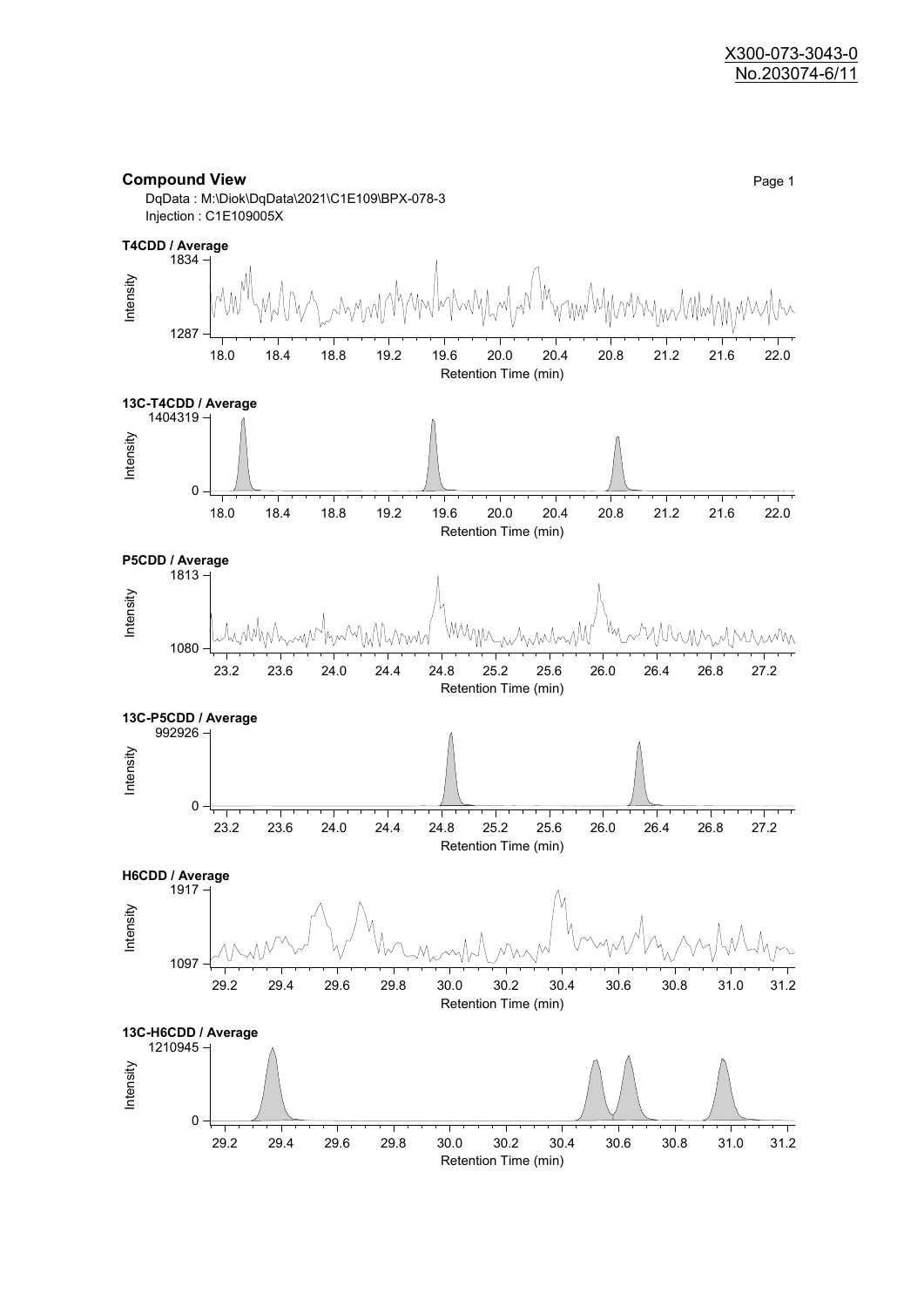#### **Compound View** Page 1



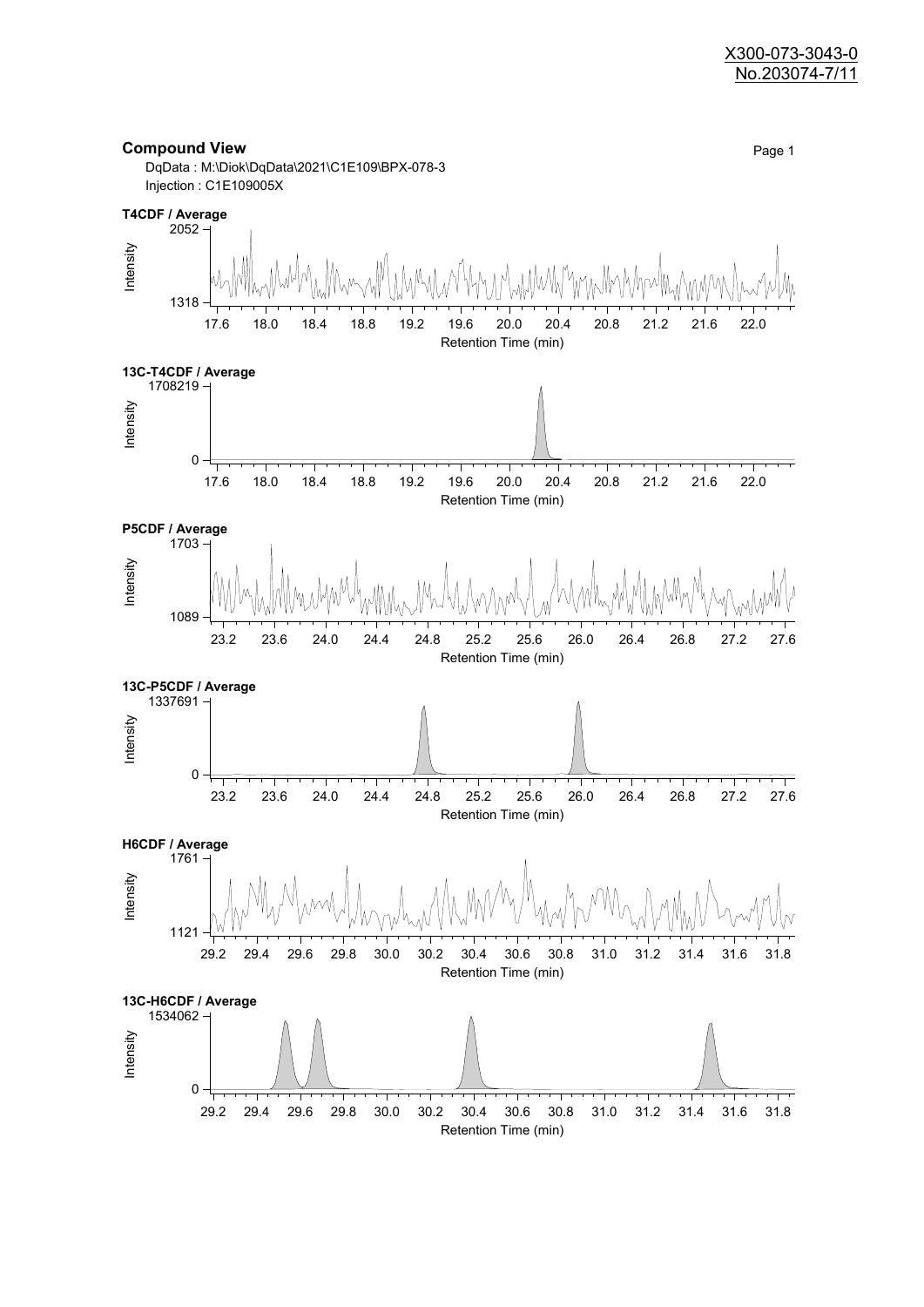#### X300-073-3043-0 No.203074-7/11

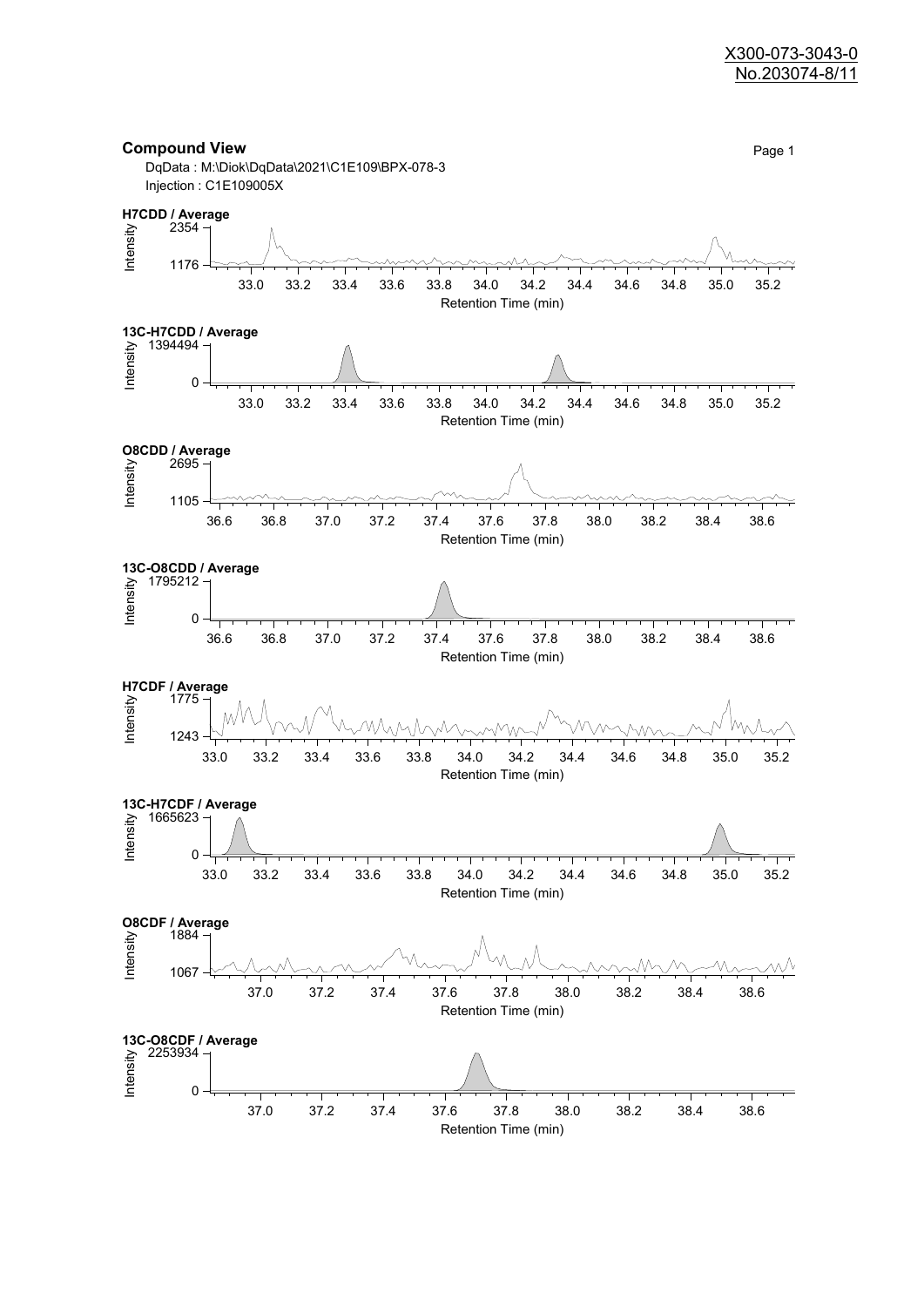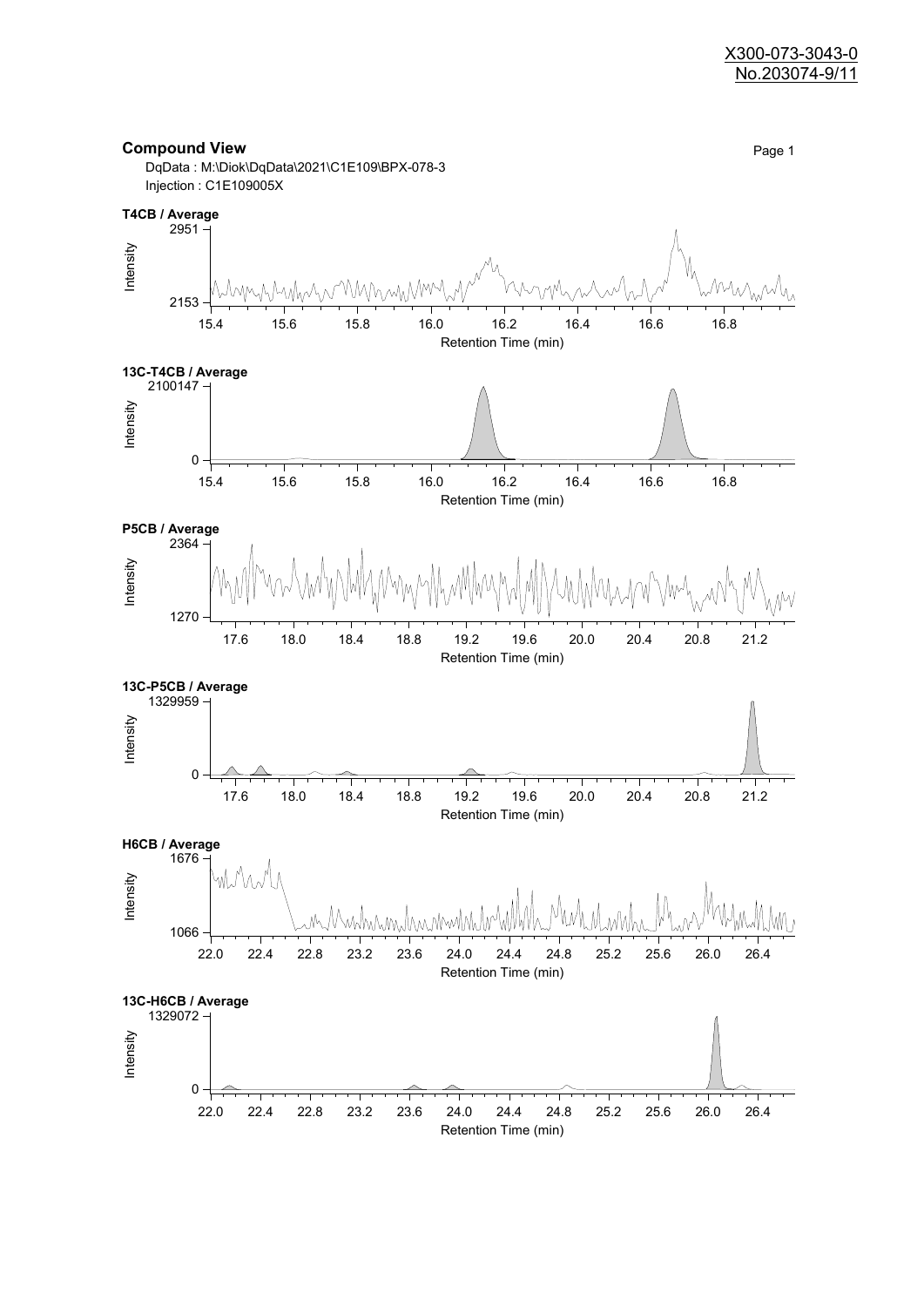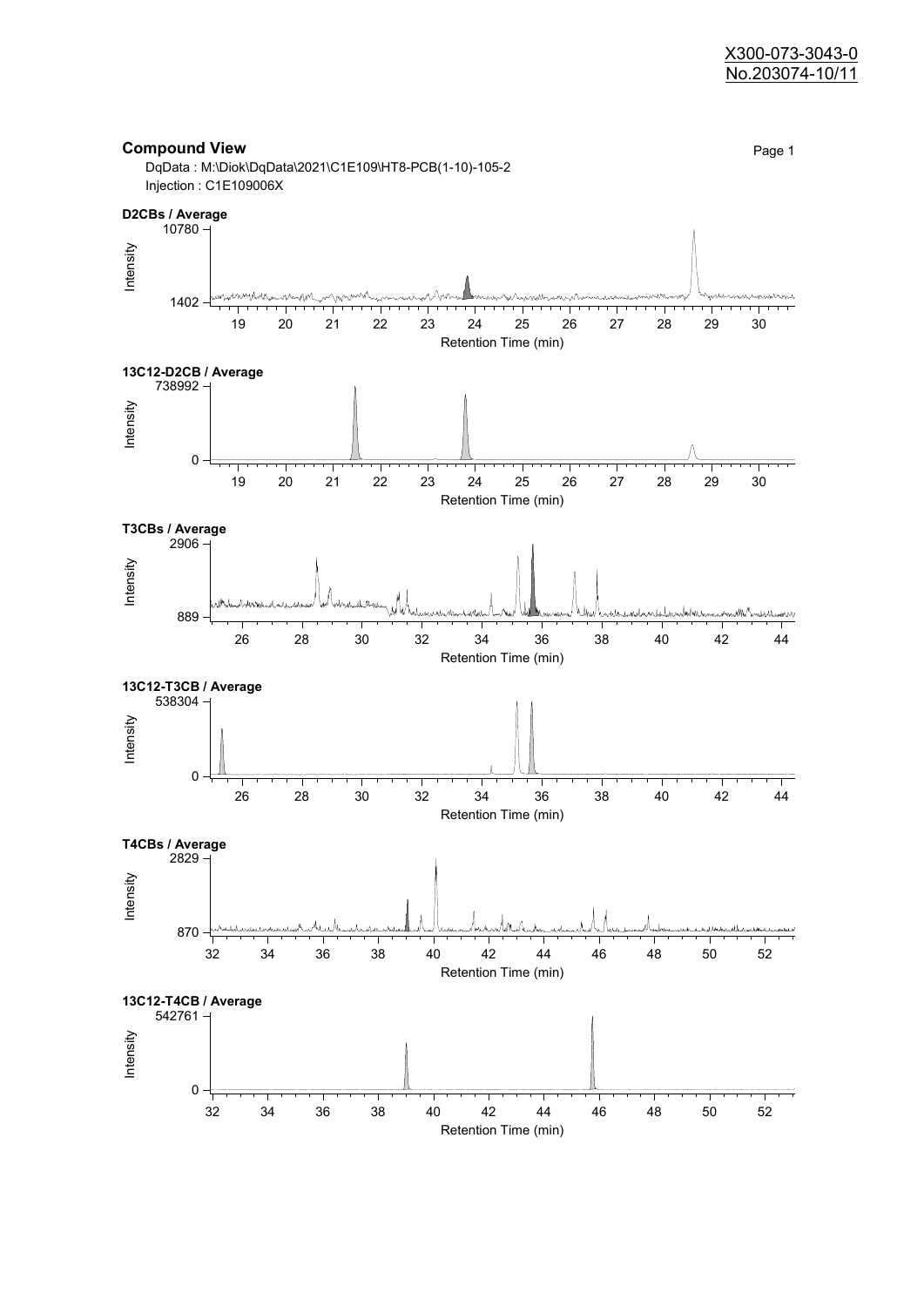